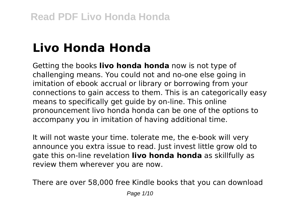# **Livo Honda Honda**

Getting the books **livo honda honda** now is not type of challenging means. You could not and no-one else going in imitation of ebook accrual or library or borrowing from your connections to gain access to them. This is an categorically easy means to specifically get guide by on-line. This online pronouncement livo honda honda can be one of the options to accompany you in imitation of having additional time.

It will not waste your time. tolerate me, the e-book will very announce you extra issue to read. Just invest little grow old to gate this on-line revelation **livo honda honda** as skillfully as review them wherever you are now.

There are over 58,000 free Kindle books that you can download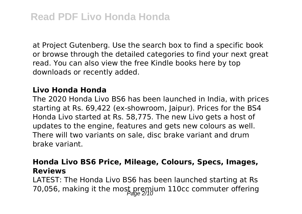at Project Gutenberg. Use the search box to find a specific book or browse through the detailed categories to find your next great read. You can also view the free Kindle books here by top downloads or recently added.

#### **Livo Honda Honda**

The 2020 Honda Livo BS6 has been launched in India, with prices starting at Rs. 69,422 (ex-showroom, Jaipur). Prices for the BS4 Honda Livo started at Rs. 58,775. The new Livo gets a host of updates to the engine, features and gets new colours as well. There will two variants on sale, disc brake variant and drum brake variant.

#### **Honda Livo BS6 Price, Mileage, Colours, Specs, Images, Reviews**

LATEST: The Honda Livo BS6 has been launched starting at Rs 70,056, making it the most premium 110cc commuter offering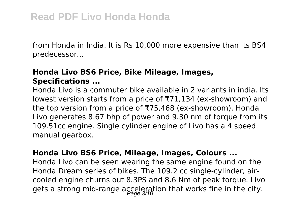from Honda in India. It is Rs 10,000 more expensive than its BS4 predecessor...

#### **Honda Livo BS6 Price, Bike Mileage, Images, Specifications ...**

Honda Livo is a commuter bike available in 2 variants in india. Its lowest version starts from a price of ₹71,134 (ex-showroom) and the top version from a price of ₹75,468 (ex-showroom). Honda Livo generates 8.67 bhp of power and 9.30 nm of torque from its 109.51cc engine. Single cylinder engine of Livo has a 4 speed manual gearbox.

#### **Honda Livo BS6 Price, Mileage, Images, Colours ...**

Honda Livo can be seen wearing the same engine found on the Honda Dream series of bikes. The 109.2 cc single-cylinder, aircooled engine churns out 8.3PS and 8.6 Nm of peak torque. Livo gets a strong mid-range acceleration that works fine in the city.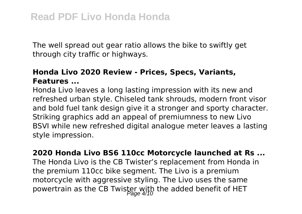The well spread out gear ratio allows the bike to swiftly get through city traffic or highways.

# **Honda Livo 2020 Review - Prices, Specs, Variants, Features ...**

Honda Livo leaves a long lasting impression with its new and refreshed urban style. Chiseled tank shrouds, modern front visor and bold fuel tank design give it a stronger and sporty character. Striking graphics add an appeal of premiumness to new Livo BSVI while new refreshed digital analogue meter leaves a lasting style impression.

**2020 Honda Livo BS6 110cc Motorcycle launched at Rs ...** The Honda Livo is the CB Twister's replacement from Honda in the premium 110cc bike segment. The Livo is a premium motorcycle with aggressive styling. The Livo uses the same powertrain as the CB Twister with the added benefit of HET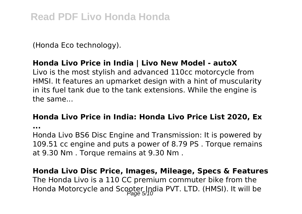(Honda Eco technology).

# **Honda Livo Price in India | Livo New Model - autoX**

Livo is the most stylish and advanced 110cc motorcycle from HMSI. It features an upmarket design with a hint of muscularity in its fuel tank due to the tank extensions. While the engine is the same...

#### **Honda Livo Price in India: Honda Livo Price List 2020, Ex**

**...**

Honda Livo BS6 Disc Engine and Transmission: It is powered by 109.51 cc engine and puts a power of 8.79 PS . Torque remains at 9.30 Nm . Torque remains at 9.30 Nm .

**Honda Livo Disc Price, Images, Mileage, Specs & Features** The Honda Livo is a 110 CC premium commuter bike from the Honda Motorcycle and Scooter India PVT. LTD. (HMSI). It will be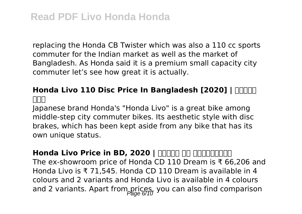replacing the Honda CB Twister which was also a 110 cc sports commuter for the Indian market as well as the market of Bangladesh. As Honda said it is a premium small capacity city commuter let's see how great it is actually.

# **Honda Livo 110 Disc Price In Bangladesh [2020] | MANITA দাম**

Japanese brand Honda's "Honda Livo" is a great bike among middle-step city commuter bikes. Its aesthetic style with disc brakes, which has been kept aside from any bike that has its own unique status.

Honda Livo Price in BD, 2020 | **BOOT AN ARRY AN** The ex-showroom price of Honda CD 110 Dream is ₹ 66,206 and Honda Livo is ₹ 71,545. Honda CD 110 Dream is available in 4 colours and 2 variants and Honda Livo is available in 4 colours and 2 variants. Apart from prices, you can also find comparison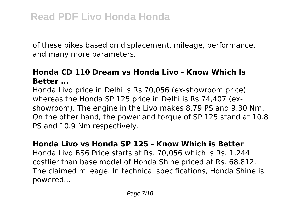of these bikes based on displacement, mileage, performance, and many more parameters.

# **Honda CD 110 Dream vs Honda Livo - Know Which Is Better ...**

Honda Livo price in Delhi is Rs 70,056 (ex-showroom price) whereas the Honda SP 125 price in Delhi is Rs 74,407 (exshowroom). The engine in the Livo makes 8.79 PS and 9.30 Nm. On the other hand, the power and torque of SP 125 stand at 10.8 PS and 10.9 Nm respectively.

#### **Honda Livo vs Honda SP 125 - Know Which is Better**

Honda Livo BS6 Price starts at Rs. 70,056 which is Rs. 1,244 costlier than base model of Honda Shine priced at Rs. 68,812. The claimed mileage. In technical specifications, Honda Shine is powered...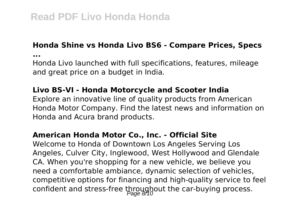#### **Honda Shine vs Honda Livo BS6 - Compare Prices, Specs**

**...**

Honda Livo launched with full specifications, features, mileage and great price on a budget in India.

## **Livo BS-VI - Honda Motorcycle and Scooter India**

Explore an innovative line of quality products from American Honda Motor Company. Find the latest news and information on Honda and Acura brand products.

#### **American Honda Motor Co., Inc. - Official Site**

Welcome to Honda of Downtown Los Angeles Serving Los Angeles, Culver City, Inglewood, West Hollywood and Glendale CA. When you're shopping for a new vehicle, we believe you need a comfortable ambiance, dynamic selection of vehicles, competitive options for financing and high-quality service to feel confident and stress-free throughout the car-buying process.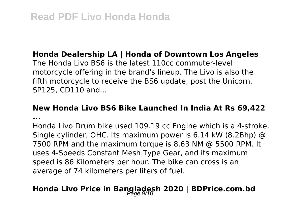#### **Honda Dealership LA | Honda of Downtown Los Angeles**

The Honda Livo BS6 is the latest 110cc commuter-level motorcycle offering in the brand's lineup. The Livo is also the fifth motorcycle to receive the BS6 update, post the Unicorn, SP125, CD110 and...

#### **New Honda Livo BS6 Bike Launched In India At Rs 69,422**

**...**

Honda Livo Drum bike used 109.19 cc Engine which is a 4-stroke, Single cylinder, OHC. Its maximum power is 6.14 kW (8.2Bhp) @ 7500 RPM and the maximum torque is 8.63 NM @ 5500 RPM. It uses 4-Speeds Constant Mesh Type Gear, and its maximum speed is 86 Kilometers per hour. The bike can cross is an average of 74 kilometers per liters of fuel.

# **Honda Livo Price in Bangladesh 2020 | BDPrice.com.bd** Page 9/10